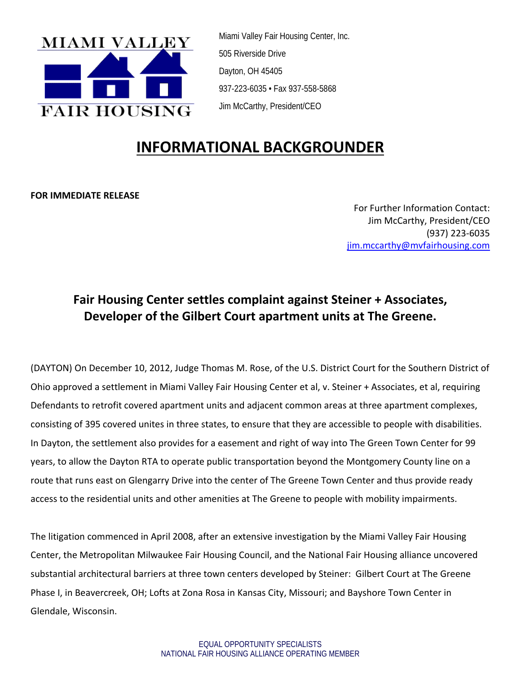

Miami Valley Fair Housing Center, Inc. 505 Riverside Drive Dayton, OH 45405 937-223-6035 • Fax 937-558-5868 Jim McCarthy, President/CEO

# **INFORMATIONAL BACKGROUNDER**

**FOR IMMEDIATE RELEASE**

For Further Information Contact: Jim McCarthy, President/CEO (937) 223‐6035 jim.mccarthy@mvfairhousing.com

## **Fair Housing Center settles complaint against Steiner + Associates, Developer of the Gilbert Court apartment units at The Greene.**

(DAYTON) On December 10, 2012, Judge Thomas M. Rose, of the U.S. District Court for the Southern District of Ohio approved a settlement in Miami Valley Fair Housing Center et al, v. Steiner + Associates, et al, requiring Defendants to retrofit covered apartment units and adjacent common areas at three apartment complexes, consisting of 395 covered unites in three states, to ensure that they are accessible to people with disabilities. In Dayton, the settlement also provides for a easement and right of way into The Green Town Center for 99 years, to allow the Dayton RTA to operate public transportation beyond the Montgomery County line on a route that runs east on Glengarry Drive into the center of The Greene Town Center and thus provide ready access to the residential units and other amenities at The Greene to people with mobility impairments.

The litigation commenced in April 2008, after an extensive investigation by the Miami Valley Fair Housing Center, the Metropolitan Milwaukee Fair Housing Council, and the National Fair Housing alliance uncovered substantial architectural barriers at three town centers developed by Steiner: Gilbert Court at The Greene Phase I, in Beavercreek, OH; Lofts at Zona Rosa in Kansas City, Missouri; and Bayshore Town Center in Glendale, Wisconsin.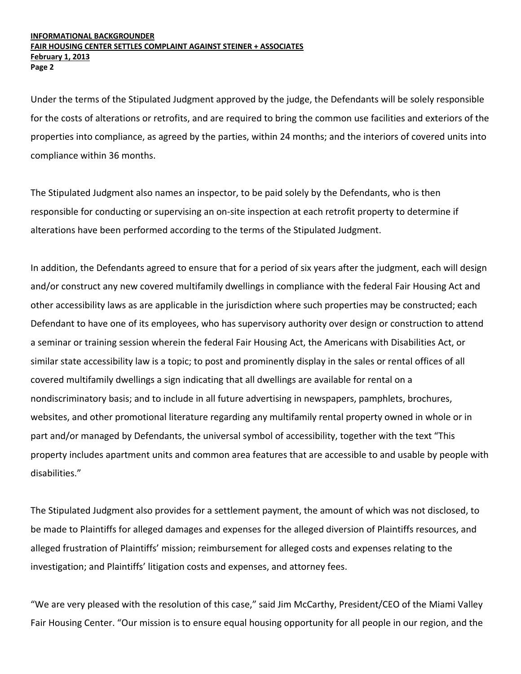#### **INFORMATIONAL BACKGROUNDER FAIR HOUSING CENTER SETTLES COMPLAINT AGAINST STEINER + ASSOCIATES February 1, 2013 Page 2**

Under the terms of the Stipulated Judgment approved by the judge, the Defendants will be solely responsible for the costs of alterations or retrofits, and are required to bring the common use facilities and exteriors of the properties into compliance, as agreed by the parties, within 24 months; and the interiors of covered units into compliance within 36 months.

The Stipulated Judgment also names an inspector, to be paid solely by the Defendants, who is then responsible for conducting or supervising an on‐site inspection at each retrofit property to determine if alterations have been performed according to the terms of the Stipulated Judgment.

In addition, the Defendants agreed to ensure that for a period of six years after the judgment, each will design and/or construct any new covered multifamily dwellings in compliance with the federal Fair Housing Act and other accessibility laws as are applicable in the jurisdiction where such properties may be constructed; each Defendant to have one of its employees, who has supervisory authority over design or construction to attend a seminar or training session wherein the federal Fair Housing Act, the Americans with Disabilities Act, or similar state accessibility law is a topic; to post and prominently display in the sales or rental offices of all covered multifamily dwellings a sign indicating that all dwellings are available for rental on a nondiscriminatory basis; and to include in all future advertising in newspapers, pamphlets, brochures, websites, and other promotional literature regarding any multifamily rental property owned in whole or in part and/or managed by Defendants, the universal symbol of accessibility, together with the text "This property includes apartment units and common area features that are accessible to and usable by people with disabilities."

The Stipulated Judgment also provides for a settlement payment, the amount of which was not disclosed, to be made to Plaintiffs for alleged damages and expenses for the alleged diversion of Plaintiffs resources, and alleged frustration of Plaintiffs' mission; reimbursement for alleged costs and expenses relating to the investigation; and Plaintiffs' litigation costs and expenses, and attorney fees.

"We are very pleased with the resolution of this case," said Jim McCarthy, President/CEO of the Miami Valley Fair Housing Center. "Our mission is to ensure equal housing opportunity for all people in our region, and the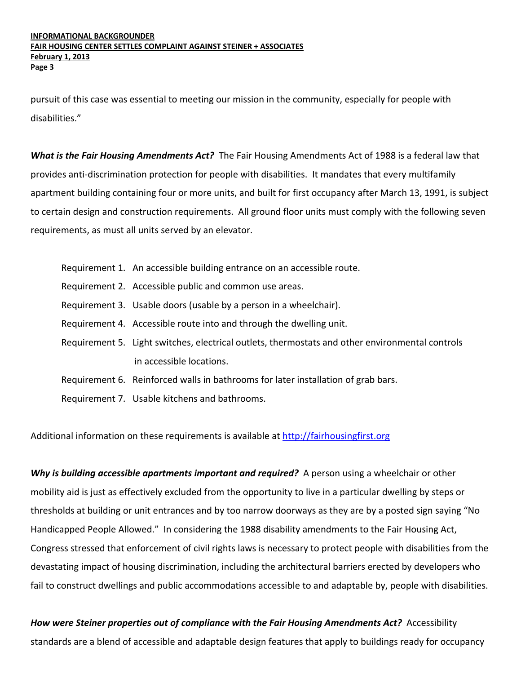pursuit of this case was essential to meeting our mission in the community, especially for people with disabilities."

*What is the Fair Housing Amendments Act?* The Fair Housing Amendments Act of 1988 is a federal law that provides anti‐discrimination protection for people with disabilities. It mandates that every multifamily apartment building containing four or more units, and built for first occupancy after March 13, 1991, is subject to certain design and construction requirements. All ground floor units must comply with the following seven requirements, as must all units served by an elevator.

- Requirement 1. An accessible building entrance on an accessible route.
- Requirement 2. Accessible public and common use areas.
- Requirement 3. Usable doors (usable by a person in a wheelchair).
- Requirement 4. Accessible route into and through the dwelling unit.
- Requirement 5. Light switches, electrical outlets, thermostats and other environmental controls in accessible locations.
- Requirement 6. Reinforced walls in bathrooms for later installation of grab bars.
- Requirement 7. Usable kitchens and bathrooms.

Additional information on these requirements is available at http://fairhousingfirst.org

*Why is building accessible apartments important and required?* A person using a wheelchair or other mobility aid is just as effectively excluded from the opportunity to live in a particular dwelling by steps or thresholds at building or unit entrances and by too narrow doorways as they are by a posted sign saying "No Handicapped People Allowed." In considering the 1988 disability amendments to the Fair Housing Act, Congress stressed that enforcement of civil rights laws is necessary to protect people with disabilities from the devastating impact of housing discrimination, including the architectural barriers erected by developers who fail to construct dwellings and public accommodations accessible to and adaptable by, people with disabilities.

*How were Steiner properties out of compliance with the Fair Housing Amendments Act?* Accessibility standards are a blend of accessible and adaptable design features that apply to buildings ready for occupancy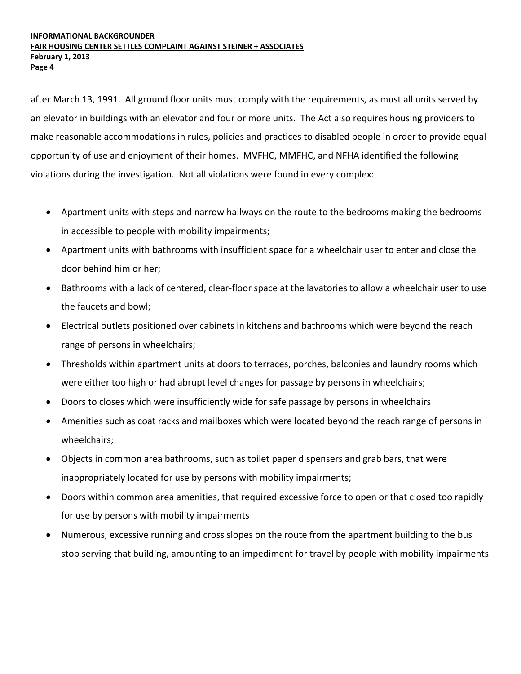after March 13, 1991. All ground floor units must comply with the requirements, as must all units served by an elevator in buildings with an elevator and four or more units. The Act also requires housing providers to make reasonable accommodations in rules, policies and practices to disabled people in order to provide equal opportunity of use and enjoyment of their homes. MVFHC, MMFHC, and NFHA identified the following violations during the investigation. Not all violations were found in every complex:

- Apartment units with steps and narrow hallways on the route to the bedrooms making the bedrooms in accessible to people with mobility impairments;
- Apartment units with bathrooms with insufficient space for a wheelchair user to enter and close the door behind him or her;
- Bathrooms with a lack of centered, clear-floor space at the lavatories to allow a wheelchair user to use the faucets and bowl;
- Electrical outlets positioned over cabinets in kitchens and bathrooms which were beyond the reach range of persons in wheelchairs;
- Thresholds within apartment units at doors to terraces, porches, balconies and laundry rooms which were either too high or had abrupt level changes for passage by persons in wheelchairs;
- Doors to closes which were insufficiently wide for safe passage by persons in wheelchairs
- Amenities such as coat racks and mailboxes which were located beyond the reach range of persons in wheelchairs;
- Objects in common area bathrooms, such as toilet paper dispensers and grab bars, that were inappropriately located for use by persons with mobility impairments;
- Doors within common area amenities, that required excessive force to open or that closed too rapidly for use by persons with mobility impairments
- Numerous, excessive running and cross slopes on the route from the apartment building to the bus stop serving that building, amounting to an impediment for travel by people with mobility impairments